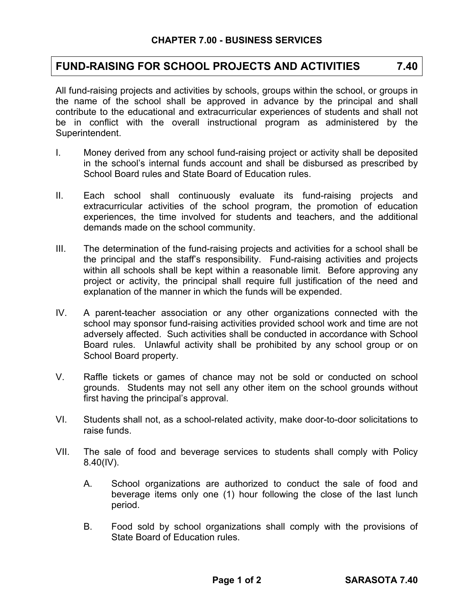## **FUND-RAISING FOR SCHOOL PROJECTS AND ACTIVITIES 7.40**

All fund-raising projects and activities by schools, groups within the school, or groups in the name of the school shall be approved in advance by the principal and shall contribute to the educational and extracurricular experiences of students and shall not be in conflict with the overall instructional program as administered by the Superintendent.

- I. Money derived from any school fund-raising project or activity shall be deposited in the school's internal funds account and shall be disbursed as prescribed by School Board rules and State Board of Education rules.
- II. Each school shall continuously evaluate its fund-raising projects and extracurricular activities of the school program, the promotion of education experiences, the time involved for students and teachers, and the additional demands made on the school community.
- III. The determination of the fund-raising projects and activities for a school shall be the principal and the staff's responsibility. Fund-raising activities and projects within all schools shall be kept within a reasonable limit. Before approving any project or activity, the principal shall require full justification of the need and explanation of the manner in which the funds will be expended.
- IV. A parent-teacher association or any other organizations connected with the school may sponsor fund-raising activities provided school work and time are not adversely affected. Such activities shall be conducted in accordance with School Board rules. Unlawful activity shall be prohibited by any school group or on School Board property.
- V. Raffle tickets or games of chance may not be sold or conducted on school grounds. Students may not sell any other item on the school grounds without first having the principal's approval.
- VI. Students shall not, as a school-related activity, make door-to-door solicitations to raise funds.
- VII. The sale of food and beverage services to students shall comply with Policy 8.40(IV).
	- A. School organizations are authorized to conduct the sale of food and beverage items only one (1) hour following the close of the last lunch period.
	- B. Food sold by school organizations shall comply with the provisions of State Board of Education rules.